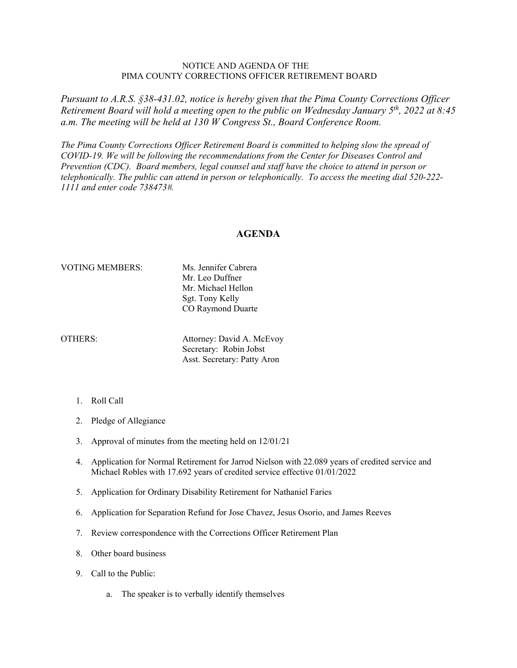## NOTICE AND AGENDA OF THE PIMA COUNTY CORRECTIONS OFFICER RETIREMENT BOARD

*Pursuant to A.R.S. §38-431.02, notice is hereby given that the Pima County Corrections Officer Retirement Board will hold a meeting open to the public on Wednesday January 5th, 2022 at 8:45 a.m. The meeting will be held at 130 W Congress St., Board Conference Room.* 

*The Pima County Corrections Officer Retirement Board is committed to helping slow the spread of COVID-19. We will be following the recommendations from the Center for Diseases Control and Prevention (CDC). Board members, legal counsel and staff have the choice to attend in person or telephonically. The public can attend in person or telephonically. To access the meeting dial 520-222- 1111 and enter code 738473#.*

## **AGENDA**

## VOTING MEMBERS: Ms. Jennifer Cabrera

Mr. Leo Duffner Mr. Michael Hellon Sgt. Tony Kelly CO Raymond Duarte

OTHERS: Attorney: David A. McEvoy Secretary: Robin Jobst Asst. Secretary: Patty Aron

- 1. Roll Call
- 2. Pledge of Allegiance
- 3. Approval of minutes from the meeting held on 12/01/21
- 4. Application for Normal Retirement for Jarrod Nielson with 22.089 years of credited service and Michael Robles with 17.692 years of credited service effective 01/01/2022
- 5. Application for Ordinary Disability Retirement for Nathaniel Faries
- 6. Application for Separation Refund for Jose Chavez, Jesus Osorio, and James Reeves
- 7. Review correspondence with the Corrections Officer Retirement Plan
- 8. Other board business
- 9. Call to the Public:
	- a. The speaker is to verbally identify themselves